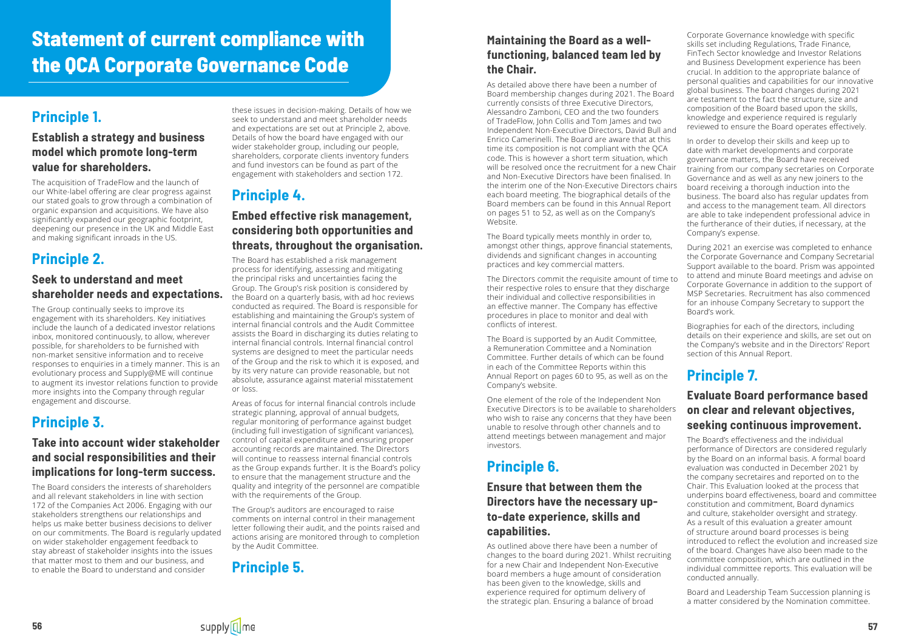

# **Statement of current compliance with the QCA Corporate Governance Code**

# **Principle 1.**

### **Establish a strategy and business model which promote long-term value for shareholders.**

The acquisition of TradeFlow and the launch of our White-label offering are clear progress against our stated goals to grow through a combination of organic expansion and acquisitions. We have also significantly expanded our geographic footprint, deepening our presence in the UK and Middle East and making significant inroads in the US.

## **Principle 2.**

#### **Seek to understand and meet shareholder needs and expectations.**

The Group continually seeks to improve its engagement with its shareholders. Key initiatives include the launch of a dedicated investor relations inbox, monitored continuously, to allow, wherever possible, for shareholders to be furnished with non-market sensitive information and to receive responses to enquiries in a timely manner. This is an evolutionary process and Supply@ME will continue to augment its investor relations function to provide more insights into the Company through regular engagement and discourse.

### **Principle 3.**

#### **Take into account wider stakeholder and social responsibilities and their implications for long-term success.**

The Board considers the interests of shareholders and all relevant stakeholders in line with section 172 of the Companies Act 2006. Engaging with our stakeholders strengthens our relationships and helps us make better business decisions to deliver on our commitments. The Board is regularly updated on wider stakeholder engagement feedback to stay abreast of stakeholder insights into the issues that matter most to them and our business, and to enable the Board to understand and consider

these issues in decision-making. Details of how we seek to understand and meet shareholder needs and expectations are set out at Principle 2, above. Details of how the board have engaged with our wider stakeholder group, including our people, shareholders, corporate clients inventory funders and fund investors can be found as part of the engagement with stakeholders and section 172.

### **Principle 4.**

#### **Embed effective risk management, considering both opportunities and threats, throughout the organisation.**

The Board has established a risk management process for identifying, assessing and mitigating the principal risks and uncertainties facing the Group. The Group's risk position is considered by the Board on a quarterly basis, with ad hoc reviews conducted as required. The Board is responsible for establishing and maintaining the Group's system of internal financial controls and the Audit Committee assists the Board in discharging its duties relating to internal financial controls. Internal financial control systems are designed to meet the particular needs of the Group and the risk to which it is exposed, and by its very nature can provide reasonable, but not absolute, assurance against material misstatement or loss.

Areas of focus for internal financial controls include strategic planning, approval of annual budgets, regular monitoring of performance against budget (including full investigation of significant variances), control of capital expenditure and ensuring proper accounting records are maintained. The Directors will continue to reassess internal financial controls as the Group expands further. It is the Board's policy to ensure that the management structure and the quality and integrity of the personnel are compatible with the requirements of the Group.

The Group's auditors are encouraged to raise comments on internal control in their management letter following their audit, and the points raised and actions arising are monitored through to completion by the Audit Committee.

### **Principle 5.**

### **Maintaining the Board as a wellfunctioning, balanced team led by the Chair.**

As detailed above there have been a number of Board membership changes during 2021. The Board currently consists of three Executive Directors, Alessandro Zamboni, CEO and the two founders of TradeFlow, John Collis and Tom James and two Independent Non-Executive Directors, David Bull and Enrico Camerinelli. The Board are aware that at this time its composition is not compliant with the QCA code. This is however a short term situation, which will be resolved once the recruitment for a new Chair and Non-Executive Directors have been finalised. In the interim one of the Non-Executive Directors chairs each board meeting. The biographical details of the Board members can be found in this Annual Report on pages 51 to 52, as well as on the Company's Website.

The Board typically meets monthly in order to, amongst other things, approve financial statements, dividends and significant changes in accounting practices and key commercial matters.

The Directors commit the requisite amount of time to their respective roles to ensure that they discharge their individual and collective responsibilities in an effective manner. The Company has effective procedures in place to monitor and deal with conflicts of interest.

The Board is supported by an Audit Committee, a Remuneration Committee and a Nomination Committee. Further details of which can be found in each of the Committee Reports within this Annual Report on pages 60 to 95, as well as on the Company's website.

One element of the role of the Independent Non Executive Directors is to be available to shareholders who wish to raise any concerns that they have been unable to resolve through other channels and to attend meetings between management and major investors.

### **Principle 6.**

### **Ensure that between them the Directors have the necessary upto-date experience, skills and capabilities.**

As outlined above there have been a number of changes to the board during 2021. Whilst recruiting for a new Chair and Independent Non-Executive board members a huge amount of consideration has been given to the knowledge, skills and experience required for optimum delivery of the strategic plan. Ensuring a balance of broad

Corporate Governance knowledge with specific skills set including Regulations, Trade Finance, FinTech Sector knowledge and Investor Relations and Business Development experience has been crucial. In addition to the appropriate balance of personal qualities and capabilities for our innovative global business. The board changes during 2021 are testament to the fact the structure, size and composition of the Board based upon the skills, knowledge and experience required is regularly reviewed to ensure the Board operates effectively.

In order to develop their skills and keep up to date with market developments and corporate governance matters, the Board have received training from our company secretaries on Corporate Governance and as well as any new joiners to the board receiving a thorough induction into the business. The board also has regular updates from and access to the management team. All directors are able to take independent professional advice in the furtherance of their duties, if necessary, at the Company's expense.

During 2021 an exercise was completed to enhance the Corporate Governance and Company Secretarial Support available to the board. Prism was appointed to attend and minute Board meetings and advise on Corporate Governance in addition to the support of MSP Secretaries. Recruitment has also commenced for an inhouse Company Secretary to support the Board's work.

Biographies for each of the directors, including details on their experience and skills, are set out on the Company's website and in the Directors' Report section of this Annual Report.

# **Principle 7.**

#### **Evaluate Board performance based on clear and relevant objectives, seeking continuous improvement.**

The Board's effectiveness and the individual performance of Directors are considered regularly by the Board on an informal basis. A formal board evaluation was conducted in December 2021 by the company secretaires and reported on to the Chair. This Evaluation looked at the process that underpins board effectiveness, board and committee constitution and commitment, Board dynamics and culture, stakeholder oversight and strategy. As a result of this evaluation a greater amount of structure around board processes is being introduced to reflect the evolution and increased size of the board. Changes have also been made to the committee composition, which are outlined in the individual committee reports. This evaluation will be conducted annually.

Board and Leadership Team Succession planning is a matter considered by the Nomination committee.